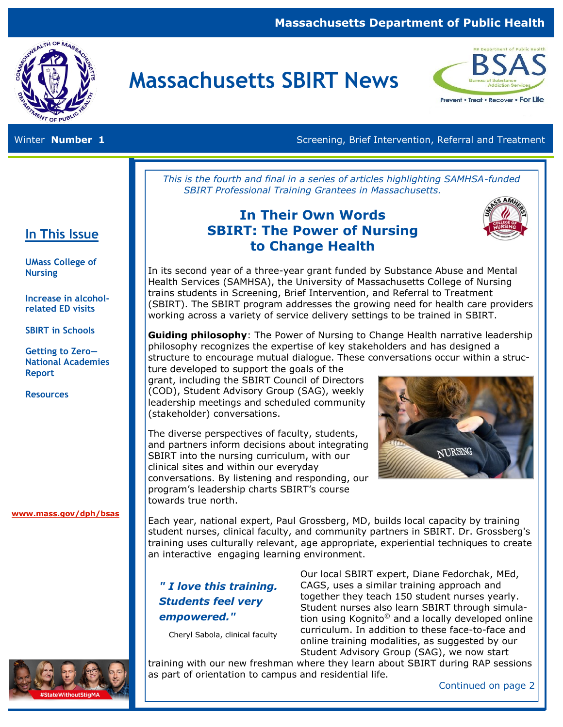## **Massachusetts Department of Public Health**



# **Massachusetts SBIRT News**



**In This Issue** 

**UMass College of** 

**Increase in alcoholrelated ED visits**

**SBIRT in Schools**

**Getting to Zero— National Academies** 

**Nursing** 

**Report** 

**Resources**

Winter **Number 1 Screening, Brief Intervention, Referral and Treatment** Screening, Brief Intervention, Referral and Treatment

*This is the fourth and final in a series of articles highlighting SAMHSA-funded SBIRT Professional Training Grantees in Massachusetts.* 

## **In Their Own Words SBIRT: The Power of Nursing to Change Health**



In its second year of a three-year grant funded by Substance Abuse and Mental Health Services (SAMHSA), the University of Massachusetts College of Nursing trains students in Screening, Brief Intervention, and Referral to Treatment (SBIRT). The SBIRT program addresses the growing need for health care providers working across a variety of service delivery settings to be trained in SBIRT.

**Guiding philosophy**: The Power of Nursing to Change Health narrative leadership philosophy recognizes the expertise of key stakeholders and has designed a structure to encourage mutual dialogue. These conversations occur within a struc-

ture developed to support the goals of the grant, including the SBIRT Council of Directors (COD), Student Advisory Group (SAG), weekly leadership meetings and scheduled community (stakeholder) conversations.

The diverse perspectives of faculty, students, and partners inform decisions about integrating SBIRT into the nursing curriculum, with our clinical sites and within our everyday conversations. By listening and responding, our program's leadership charts SBIRT's course towards true north.



**[www.mass.gov/dph/bsas](http://www.mass.gov/dph/bsas)**

Each year, national expert, Paul Grossberg, MD, builds local capacity by training student nurses, clinical faculty, and community partners in SBIRT. Dr. Grossberg's training uses culturally relevant, age appropriate, experiential techniques to create an interactive engaging learning environment.

## *" I love this training. Students feel very empowered."*

Cheryl Sabola, clinical faculty

Our local SBIRT expert, Diane Fedorchak, MEd, CAGS, uses a similar training approach and together they teach 150 student nurses yearly. Student nurses also learn SBIRT through simulation using Kognito<sup>©</sup> and a locally developed online curriculum. In addition to these face-to-face and online training modalities, as suggested by our Student Advisory Group (SAG), we now start

training with our new freshman where they learn about SBIRT during RAP sessions as part of orientation to campus and residential life.



Continued on page 2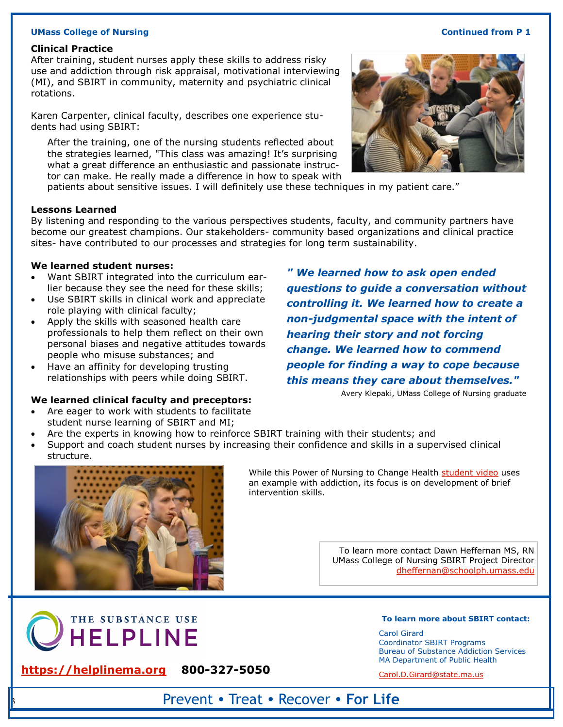#### **UMass College of Nursing Continued from P 1**

#### **Clinical Practice**

After training, student nurses apply these skills to address risky use and addiction through risk appraisal, motivational interviewing (MI), and SBIRT in community, maternity and psychiatric clinical rotations.

Karen Carpenter, clinical faculty, describes one experience students had using SBIRT:

After the training, one of the nursing students reflected about the strategies learned, "This class was amazing! It's surprising what a great difference an enthusiastic and passionate instructor can make. He really made a difference in how to speak with

patients about sensitive issues. I will definitely use these techniques in my patient care."

#### **Lessons Learned**

By listening and responding to the various perspectives students, faculty, and community partners have become our greatest champions. Our stakeholders- community based organizations and clinical practice sites- have contributed to our processes and strategies for long term sustainability.

#### **We learned student nurses:**

- Want SBIRT integrated into the curriculum earlier because they see the need for these skills;
- Use SBIRT skills in clinical work and appreciate role playing with clinical faculty;
- Apply the skills with seasoned health care professionals to help them reflect on their own personal biases and negative attitudes towards people who misuse substances; and
- Have an affinity for developing trusting relationships with peers while doing SBIRT.

#### **We learned clinical faculty and preceptors:**

- Are eager to work with students to facilitate student nurse learning of SBIRT and MI;
- Are the experts in knowing how to reinforce SBIRT training with their students; and
- Support and coach student nurses by increasing their confidence and skills in a supervised clinical structure.

#### While this Power of Nursing to Change Health [student video](https://drive.google.com/open?id=1dIp3SchNCGEn5EsEQMxHp0FZY4dHJH2l) uses an example with addiction, its focus is on development of brief intervention skills.

[dheffernan@schoolph.umass.edu](mailto:dheffernan@schoolph.umass.edu)

**To learn more about SBIRT contact:** 

Carol Girard Coordinator SBIRT Programs Bureau of Substance Addiction Services MA Department of Public Health

**[https://helplinema.org](https://helplinema.org/) 800-327-5050** Carol.D.Girard@state.ma.us  **800-327-5050**

3

Prevent • Treat • Recover • **For Life**

*" We learned how to ask open ended questions to guide a conversation without controlling it. We learned how to create a non-judgmental space with the intent of hearing their story and not forcing change. We learned how to commend people for finding a way to cope because this means they care about themselves."* 

Avery Klepaki, UMass College of Nursing graduate

To learn more contact Dawn Heffernan MS, RN UMass College of Nursing SBIRT Project Director



THE SUBSTANCE USE

**HELPLINE** 

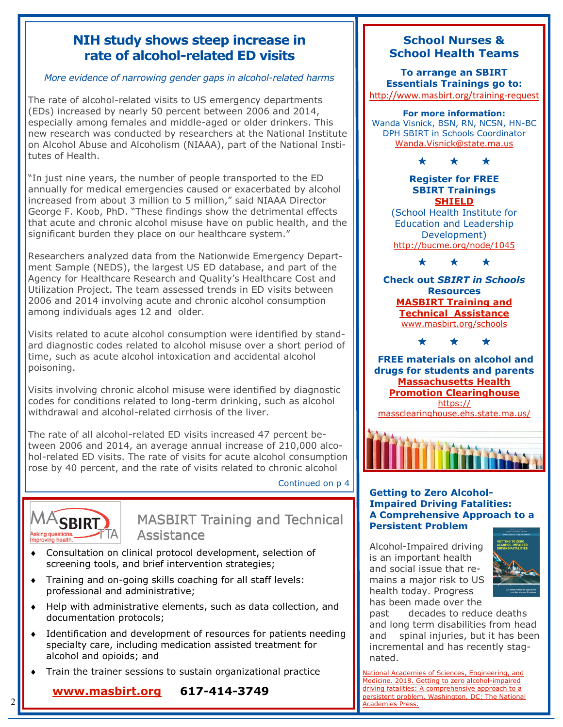## **NIH study shows steep increase in rate of alcohol-related ED visits**

## *More evidence of narrowing gender gaps in alcohol-related harms*

The rate of alcohol-related visits to US emergency departments (EDs) increased by nearly 50 percent between 2006 and 2014, especially among females and middle-aged or older drinkers. This new research was conducted by researchers at the National Institute on Alcohol Abuse and Alcoholism (NIAAA), part of the National Institutes of Health.

"In just nine years, the number of people transported to the ED annually for medical emergencies caused or exacerbated by alcohol increased from about 3 million to 5 million," said NIAAA Director George F. Koob, PhD. "These findings show the detrimental effects that acute and chronic alcohol misuse have on public health, and the significant burden they place on our healthcare system."

Researchers analyzed data from the Nationwide Emergency Department Sample (NEDS), the largest US ED database, and part of the Agency for Healthcare Research and Quality's Healthcare Cost and Utilization Project. The team assessed trends in ED visits between 2006 and 2014 involving acute and chronic alcohol consumption among individuals ages 12 and older.

Visits related to acute alcohol consumption were identified by standard diagnostic codes related to alcohol misuse over a short period of time, such as acute alcohol intoxication and accidental alcohol poisoning.

Visits involving chronic alcohol misuse were identified by diagnostic codes for conditions related to long-term drinking, such as alcohol withdrawal and alcohol-related cirrhosis of the liver.

The rate of all alcohol-related ED visits increased 47 percent between 2006 and 2014, an average annual increase of 210,000 alcohol-related ED visits. The rate of visits for acute alcohol consumption rose by 40 percent, and the rate of visits related to chronic alcohol

Continued on p 4



Ξ

2

## MASBIRT Training and Technical Assistance

- Consultation on clinical protocol development, selection of screening tools, and brief intervention strategies;
- Training and on-going skills coaching for all staff levels: professional and administrative;
- Help with administrative elements, such as data collection, and documentation protocols;
- Identification and development of resources for patients needing specialty care, including medication assisted treatment for alcohol and opioids; and
- Train the trainer sessions to sustain organizational practice

**[www.masbirt.org](http://www.masbirt.org) 617-414-3749**

## **School Nurses & School Health Teams**

**To arrange an SBIRT Essentials Trainings go to:** [http://www.masbirt.org/training](http://www.masbirt.org/training-request)-request

**For more information:**  Wanda Visnick, BSN, RN, NCSN, HN-BC DPH SBIRT in Schools Coordinator [Wanda.Visnick@state.ma.us](mailto:Wanda.Visnick@state.ma.us)



### **Register for FREE SBIRT Trainings [SHIELD](http://www.SHIELD-BU.org)**

(School Health Institute for Education and Leadership Development) <http://bucme.org/node/1045>

\* \* \*

**Check out** *SBIRT in Schools*  **Resources [MASBIRT Training and](http://www.masbirt.org/schools)  [Technical Assistance](http://www.masbirt.org/schools)** [www.masbirt.org/schools](http://www.masbirt.org/schools)

\* \* \*

**FREE materials on alcohol and drugs for students and parents [Massachusetts Health](https://massclearinghouse.ehs.state.ma.us/)  [Promotion Clearinghouse](https://massclearinghouse.ehs.state.ma.us/)** [https://](https://massclearinghouse.ehs.state.ma.us/) [massclearinghouse.ehs.state.ma.us/](https://massclearinghouse.ehs.state.ma.us/)



### **Getting to Zero Alcohol-Impaired Driving Fatalities: A Comprehensive Approach to a Persistent Problem**

Alcohol-Impaired driving is an important health and social issue that remains a major risk to US health today. Progress has been made over the



past decades to reduce deaths and long term disabilities from head and spinal injuries, but it has been incremental and has recently stagnated.

[National Academies of Sciences, Engineering, and](https://www.nap.edu/catalog/24951/getting-to-zero-alcohol-impaired-driving-fatalities-a-comprehensive-approach)  [Medicine. 2018. Getting to zero alcohol-impaired](https://www.nap.edu/catalog/24951/getting-to-zero-alcohol-impaired-driving-fatalities-a-comprehensive-approach)  [driving fatalities: A comprehensive approach to a](https://www.nap.edu/catalog/24951/getting-to-zero-alcohol-impaired-driving-fatalities-a-comprehensive-approach)  [persistent problem. Washington, DC: The National](https://www.nap.edu/catalog/24951/getting-to-zero-alcohol-impaired-driving-fatalities-a-comprehensive-approach)  [Academies Press.](https://www.nap.edu/catalog/24951/getting-to-zero-alcohol-impaired-driving-fatalities-a-comprehensive-approach)